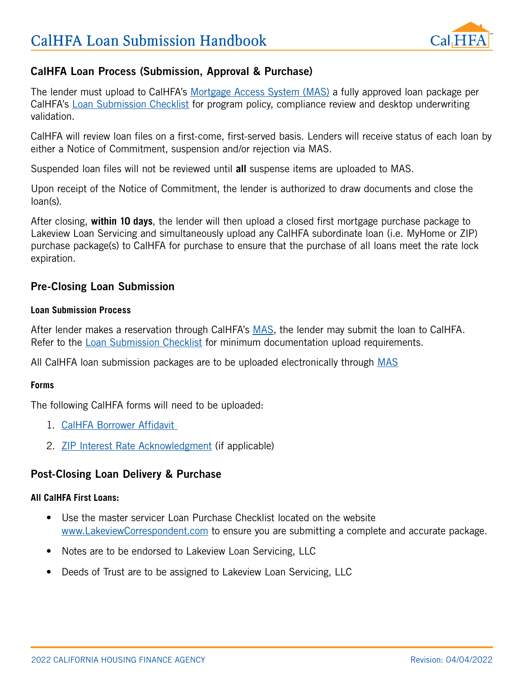

# CalHFA Loan Process (Submission, Approval & Purchase)

The lender must upload to CalHFA's [Mortgage Access System \(MAS\)](https://mortgageaccess.calhfa.ca.gov/UserAccount/Home) a fully approved loan package per CalHFA's [Loan Submission Checklist](https://www.calhfa.ca.gov/homeownership/forms/checklist-submission.pdf) for program policy, compliance review and desktop underwriting validation.

CalHFA will review loan files on a first-come, first-served basis. Lenders will receive status of each loan by either a Notice of Commitment, suspension and/or rejection via MAS.

Suspended loan files will not be reviewed until **all** suspense items are uploaded to MAS.

Upon receipt of the Notice of Commitment, the lender is authorized to draw documents and close the loan(s).

After closing, **within 10 days**, the lender will then upload a closed first mortgage purchase package to Lakeview Loan Servicing and simultaneously upload any CalHFA subordinate loan (i.e. MyHome or ZIP) purchase package(s) to CalHFA for purchase to ensure that the purchase of all loans meet the rate lock expiration.

# Pre-Closing Loan Submission

### **Loan Submission Process**

After lender makes a reservation through CalHFA's [MAS](https://mortgageaccess.calhfa.ca.gov/UserAccount/Home), the lender may submit the loan to CalHFA. Refer to the [Loan Submission Checklist](https://www.calhfa.ca.gov/homeownership/forms/checklist-submission.pdf) for minimum documentation upload requirements.

All CalHFA loan submission packages are to be uploaded electronically through [MAS](https://mortgageaccess.calhfa.ca.gov/UserAccount/Home)

### **Forms**

The following CalHFA forms will need to be uploaded:

- 1. [CalHFA Borrower Affidavit](http://www.calhfa.ca.gov/homeownership/forms/affidavit-borrower.pdf)
- 2. [ZIP Interest Rate Acknowledgment](https://www.calhfa.ca.gov/homeownership/forms/disclosure-zip-interest-rate.pdf) (if applicable)

### Post-Closing Loan Delivery & Purchase

### **All CalHFA First Loans:**

- Use the master servicer Loan Purchase Checklist located on the website [www.LakeviewCorrespondent.com](http://www.lakeviewcorrespondent.com/) to ensure you are submitting a complete and accurate package.
- Notes are to be endorsed to Lakeview Loan Servicing, LLC
- Deeds of Trust are to be assigned to Lakeview Loan Servicing, LLC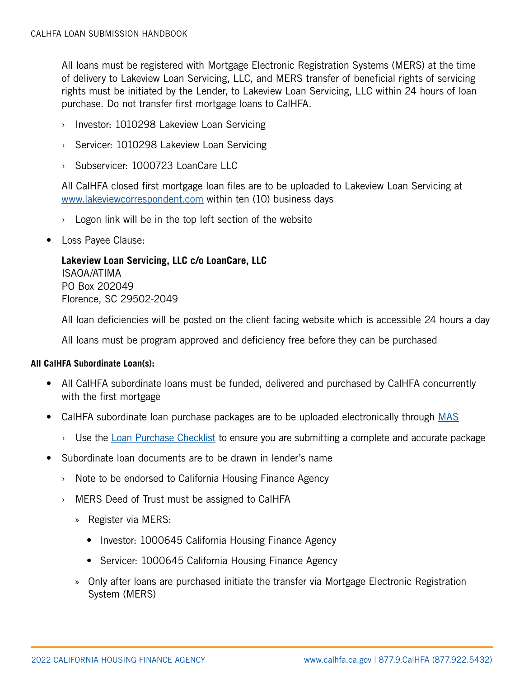All loans must be registered with Mortgage Electronic Registration Systems (MERS) at the time of delivery to Lakeview Loan Servicing, LLC, and MERS transfer of beneficial rights of servicing rights must be initiated by the Lender, to Lakeview Loan Servicing, LLC within 24 hours of loan purchase. Do not transfer first mortgage loans to CalHFA.

- › Investor: 1010298 Lakeview Loan Servicing
- › Servicer: 1010298 Lakeview Loan Servicing
- › Subservicer: 1000723 LoanCare LLC

All CalHFA closed first mortgage loan files are to be uploaded to Lakeview Loan Servicing at [www.lakeviewcorrespondent.com](http://www.lakeviewcorrespondent.com/) within ten (10) business days

- $\rightarrow$  Logon link will be in the top left section of the website
- Loss Payee Clause:

# **Lakeview Loan Servicing, LLC c/o LoanCare, LLC** ISAOA/ATIMA PO Box 202049 Florence, SC 29502-2049

All loan deficiencies will be posted on the client facing website which is accessible 24 hours a day

All loans must be program approved and deficiency free before they can be purchased

### **All CalHFA Subordinate Loan(s):**

- All CalHFA subordinate loans must be funded, delivered and purchased by CalHFA concurrently with the first mortgage
- CalHFA subordinate loan purchase packages are to be uploaded electronically through [MAS](https://mortgageaccess.calhfa.ca.gov/UserAccount/Home)
	- $\rightarrow$  Use the [Loan Purchase Checklist](https://www.calhfa.ca.gov/homeownership/forms/checklist-purchase.pdf) to ensure you are submitting a complete and accurate package
- Subordinate loan documents are to be drawn in lender's name
	- › Note to be endorsed to California Housing Finance Agency
	- › MERS Deed of Trust must be assigned to CalHFA
		- » Register via MERS:
			- Investor: 1000645 California Housing Finance Agency
			- Servicer: 1000645 California Housing Finance Agency
		- » Only after loans are purchased initiate the transfer via Mortgage Electronic Registration System (MERS)